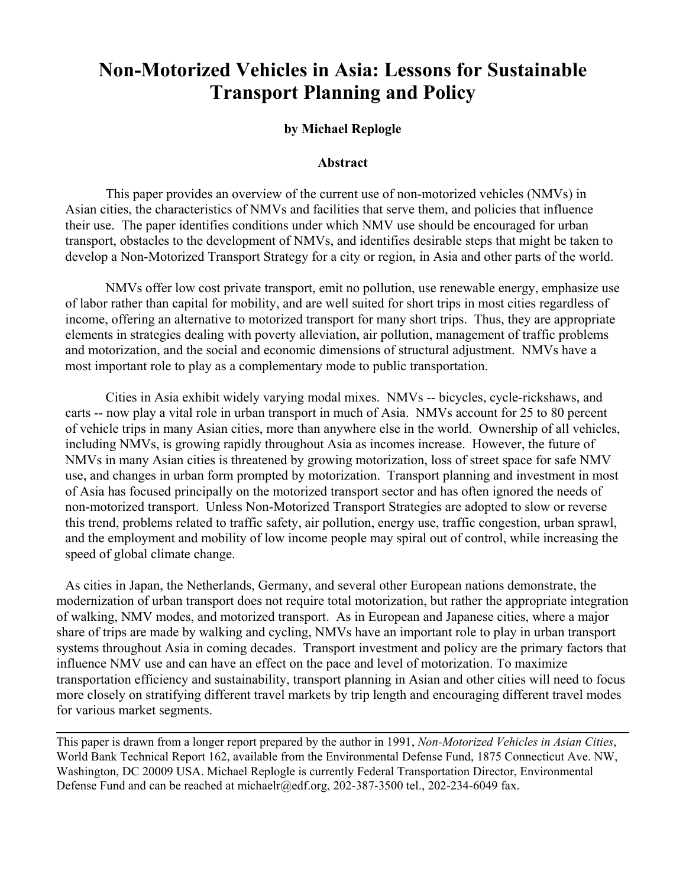# **Non-Motorized Vehicles in Asia: Lessons for Sustainable Transport Planning and Policy**

# **by Michael Replogle**

# **Abstract**

This paper provides an overview of the current use of non-motorized vehicles (NMVs) in Asian cities, the characteristics of NMVs and facilities that serve them, and policies that influence their use. The paper identifies conditions under which NMV use should be encouraged for urban transport, obstacles to the development of NMVs, and identifies desirable steps that might be taken to develop a Non-Motorized Transport Strategy for a city or region, in Asia and other parts of the world.

NMVs offer low cost private transport, emit no pollution, use renewable energy, emphasize use of labor rather than capital for mobility, and are well suited for short trips in most cities regardless of income, offering an alternative to motorized transport for many short trips. Thus, they are appropriate elements in strategies dealing with poverty alleviation, air pollution, management of traffic problems and motorization, and the social and economic dimensions of structural adjustment. NMVs have a most important role to play as a complementary mode to public transportation.

Cities in Asia exhibit widely varying modal mixes. NMVs -- bicycles, cycle-rickshaws, and carts -- now play a vital role in urban transport in much of Asia. NMVs account for 25 to 80 percent of vehicle trips in many Asian cities, more than anywhere else in the world. Ownership of all vehicles, including NMVs, is growing rapidly throughout Asia as incomes increase. However, the future of NMVs in many Asian cities is threatened by growing motorization, loss of street space for safe NMV use, and changes in urban form prompted by motorization. Transport planning and investment in most of Asia has focused principally on the motorized transport sector and has often ignored the needs of non-motorized transport. Unless Non-Motorized Transport Strategies are adopted to slow or reverse this trend, problems related to traffic safety, air pollution, energy use, traffic congestion, urban sprawl, and the employment and mobility of low income people may spiral out of control, while increasing the speed of global climate change.

As cities in Japan, the Netherlands, Germany, and several other European nations demonstrate, the modernization of urban transport does not require total motorization, but rather the appropriate integration of walking, NMV modes, and motorized transport. As in European and Japanese cities, where a major share of trips are made by walking and cycling, NMVs have an important role to play in urban transport systems throughout Asia in coming decades. Transport investment and policy are the primary factors that influence NMV use and can have an effect on the pace and level of motorization. To maximize transportation efficiency and sustainability, transport planning in Asian and other cities will need to focus more closely on stratifying different travel markets by trip length and encouraging different travel modes for various market segments.

This paper is drawn from a longer report prepared by the author in 1991, *Non-Motorized Vehicles in Asian Cities*, World Bank Technical Report 162, available from the Environmental Defense Fund, 1875 Connecticut Ave. NW, Washington, DC 20009 USA. Michael Replogle is currently Federal Transportation Director, Environmental Defense Fund and can be reached at michaelr@edf.org,  $202-387-3500$  tel.,  $202-234-6049$  fax.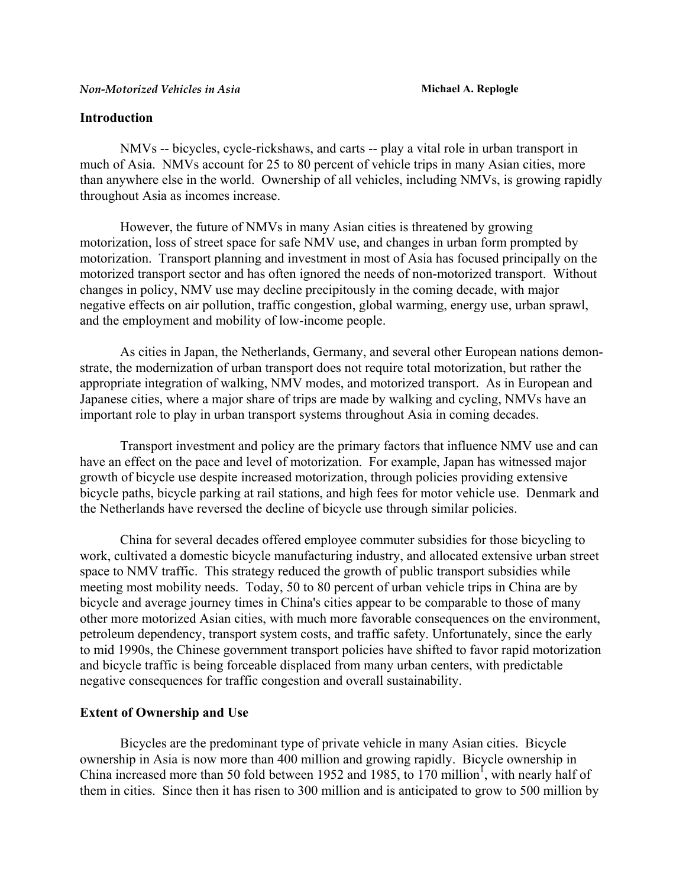# **Introduction**

 NMVs -- bicycles, cycle-rickshaws, and carts -- play a vital role in urban transport in much of Asia. NMVs account for 25 to 80 percent of vehicle trips in many Asian cities, more than anywhere else in the world. Ownership of all vehicles, including NMVs, is growing rapidly throughout Asia as incomes increase.

 However, the future of NMVs in many Asian cities is threatened by growing motorization, loss of street space for safe NMV use, and changes in urban form prompted by motorization. Transport planning and investment in most of Asia has focused principally on the motorized transport sector and has often ignored the needs of non-motorized transport. Without changes in policy, NMV use may decline precipitously in the coming decade, with major negative effects on air pollution, traffic congestion, global warming, energy use, urban sprawl, and the employment and mobility of low-income people.

 As cities in Japan, the Netherlands, Germany, and several other European nations demonstrate, the modernization of urban transport does not require total motorization, but rather the appropriate integration of walking, NMV modes, and motorized transport. As in European and Japanese cities, where a major share of trips are made by walking and cycling, NMVs have an important role to play in urban transport systems throughout Asia in coming decades.

 Transport investment and policy are the primary factors that influence NMV use and can have an effect on the pace and level of motorization. For example, Japan has witnessed major growth of bicycle use despite increased motorization, through policies providing extensive bicycle paths, bicycle parking at rail stations, and high fees for motor vehicle use. Denmark and the Netherlands have reversed the decline of bicycle use through similar policies.

 China for several decades offered employee commuter subsidies for those bicycling to work, cultivated a domestic bicycle manufacturing industry, and allocated extensive urban street space to NMV traffic. This strategy reduced the growth of public transport subsidies while meeting most mobility needs. Today, 50 to 80 percent of urban vehicle trips in China are by bicycle and average journey times in China's cities appear to be comparable to those of many other more motorized Asian cities, with much more favorable consequences on the environment, petroleum dependency, transport system costs, and traffic safety. Unfortunately, since the early to mid 1990s, the Chinese government transport policies have shifted to favor rapid motorization and bicycle traffic is being forceable displaced from many urban centers, with predictable negative consequences for traffic congestion and overall sustainability.

# **Extent of Ownership and Use**

 Bicycles are the predominant type of private vehicle in many Asian cities. Bicycle ownership in Asia is now more than 400 million and growing rapidly. Bicycle ownership in China increased more than 50 fold between [1](#page-23-0)952 and 1985, to 170 million<sup>1</sup>, with nearly half of them in cities. Since then it has risen to 300 million and is anticipated to grow to 500 million by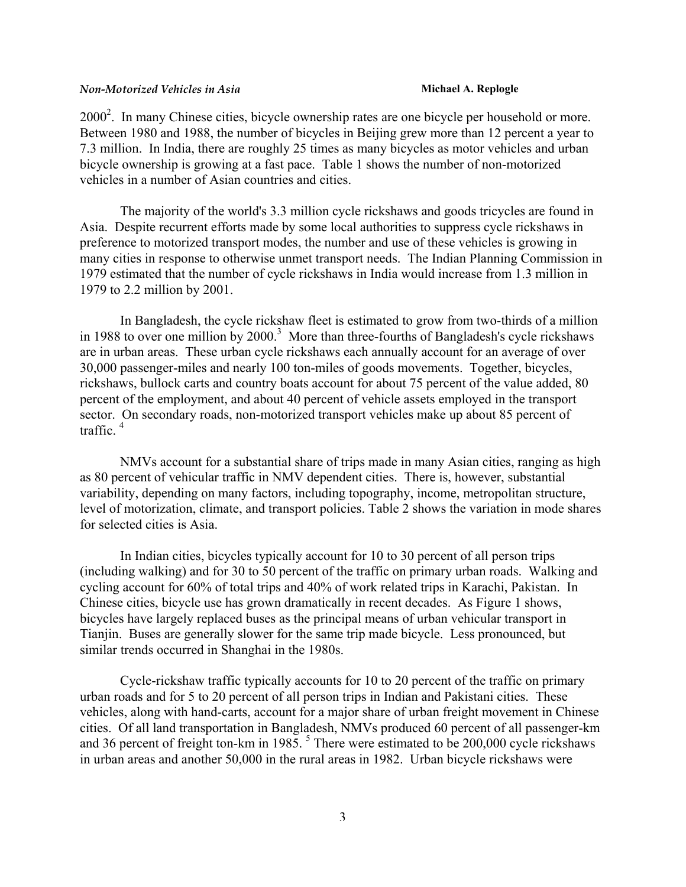$2000<sup>2</sup>$ . In many Chinese cities, bicycle ownership rates are one bicycle per household or more. Between 1980 and 1988, the number of bicycles in Beijing grew more than 12 percent a year to 7.3 million. In India, there are roughly 25 times as many bicycles as motor vehicles and urban bicycle ownership is growing at a fast pace. Table 1 shows the number of non-motorized vehicles in a number of Asian countries and cities.

The majority of the world's 3.3 million cycle rickshaws and goods tricycles are found in Asia. Despite recurrent efforts made by some local authorities to suppress cycle rickshaws in preference to motorized transport modes, the number and use of these vehicles is growing in many cities in response to otherwise unmet transport needs. The Indian Planning Commission in 1979 estimated that the number of cycle rickshaws in India would increase from 1.3 million in 1979 to 2.2 million by 2001.

In Bangladesh, the cycle rickshaw fleet is estimated to grow from two-thirds of a million in 1988 to over one million by  $2000$ .<sup>[3](#page-23-2)</sup> More than three-fourths of Bangladesh's cycle rickshaws are in urban areas. These urban cycle rickshaws each annually account for an average of over 30,000 passenger-miles and nearly 100 ton-miles of goods movements. Together, bicycles, rickshaws, bullock carts and country boats account for about 75 percent of the value added, 80 percent of the employment, and about 40 percent of vehicle assets employed in the transport sector. On secondary roads, non-motorized transport vehicles make up about 85 percent of traffic. [4](#page-23-3)

NMVs account for a substantial share of trips made in many Asian cities, ranging as high as 80 percent of vehicular traffic in NMV dependent cities. There is, however, substantial variability, depending on many factors, including topography, income, metropolitan structure, level of motorization, climate, and transport policies. Table 2 shows the variation in mode shares for selected cities is Asia.

In Indian cities, bicycles typically account for 10 to 30 percent of all person trips (including walking) and for 30 to 50 percent of the traffic on primary urban roads. Walking and cycling account for 60% of total trips and 40% of work related trips in Karachi, Pakistan. In Chinese cities, bicycle use has grown dramatically in recent decades. As Figure 1 shows, bicycles have largely replaced buses as the principal means of urban vehicular transport in Tianjin. Buses are generally slower for the same trip made bicycle. Less pronounced, but similar trends occurred in Shanghai in the 1980s.

Cycle-rickshaw traffic typically accounts for 10 to 20 percent of the traffic on primary urban roads and for 5 to 20 percent of all person trips in Indian and Pakistani cities. These vehicles, along with hand-carts, account for a major share of urban freight movement in Chinese cities. Of all land transportation in Bangladesh, NMVs produced 60 percent of all passenger-km and 36 percent of freight ton-km in 1985.<sup>5</sup> There were estimated to be 200,000 cycle rickshaws in urban areas and another 50,000 in the rural areas in 1982. Urban bicycle rickshaws were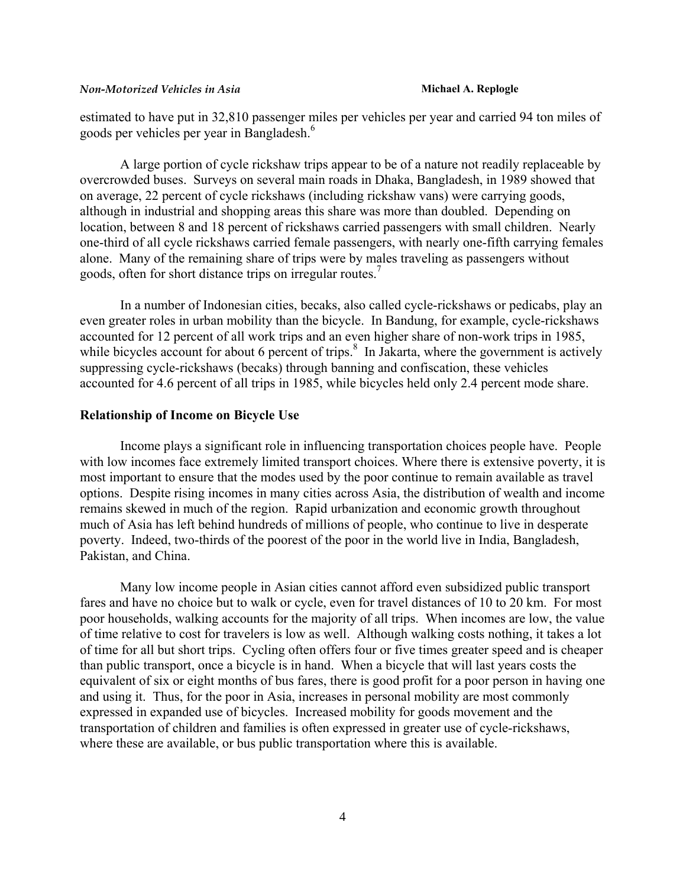estimated to have put in 32,810 passenger miles per vehicles per year and carried 94 ton miles of goods per vehicles per year in Bangladesh.<sup>[6](#page-23-5)</sup>

A large portion of cycle rickshaw trips appear to be of a nature not readily replaceable by overcrowded buses. Surveys on several main roads in Dhaka, Bangladesh, in 1989 showed that on average, 22 percent of cycle rickshaws (including rickshaw vans) were carrying goods, although in industrial and shopping areas this share was more than doubled. Depending on location, between 8 and 18 percent of rickshaws carried passengers with small children. Nearly one-third of all cycle rickshaws carried female passengers, with nearly one-fifth carrying females alone. Many of the remaining share of trips were by males traveling as passengers without goods, often for short distance trips on irregular routes.<sup>7</sup>

In a number of Indonesian cities, becaks, also called cycle-rickshaws or pedicabs, play an even greater roles in urban mobility than the bicycle. In Bandung, for example, cycle-rickshaws accounted for 12 percent of all work trips and an even higher share of non-work trips in 1985, while bicycles account for about 6 percent of trips. $\frac{8}{3}$  $\frac{8}{3}$  $\frac{8}{3}$  In Jakarta, where the government is actively suppressing cycle-rickshaws (becaks) through banning and confiscation, these vehicles accounted for 4.6 percent of all trips in 1985, while bicycles held only 2.4 percent mode share.

# **Relationship of Income on Bicycle Use**

Income plays a significant role in influencing transportation choices people have. People with low incomes face extremely limited transport choices. Where there is extensive poverty, it is most important to ensure that the modes used by the poor continue to remain available as travel options. Despite rising incomes in many cities across Asia, the distribution of wealth and income remains skewed in much of the region. Rapid urbanization and economic growth throughout much of Asia has left behind hundreds of millions of people, who continue to live in desperate poverty. Indeed, two-thirds of the poorest of the poor in the world live in India, Bangladesh, Pakistan, and China.

Many low income people in Asian cities cannot afford even subsidized public transport fares and have no choice but to walk or cycle, even for travel distances of 10 to 20 km. For most poor households, walking accounts for the majority of all trips. When incomes are low, the value of time relative to cost for travelers is low as well. Although walking costs nothing, it takes a lot of time for all but short trips. Cycling often offers four or five times greater speed and is cheaper than public transport, once a bicycle is in hand. When a bicycle that will last years costs the equivalent of six or eight months of bus fares, there is good profit for a poor person in having one and using it. Thus, for the poor in Asia, increases in personal mobility are most commonly expressed in expanded use of bicycles. Increased mobility for goods movement and the transportation of children and families is often expressed in greater use of cycle-rickshaws, where these are available, or bus public transportation where this is available.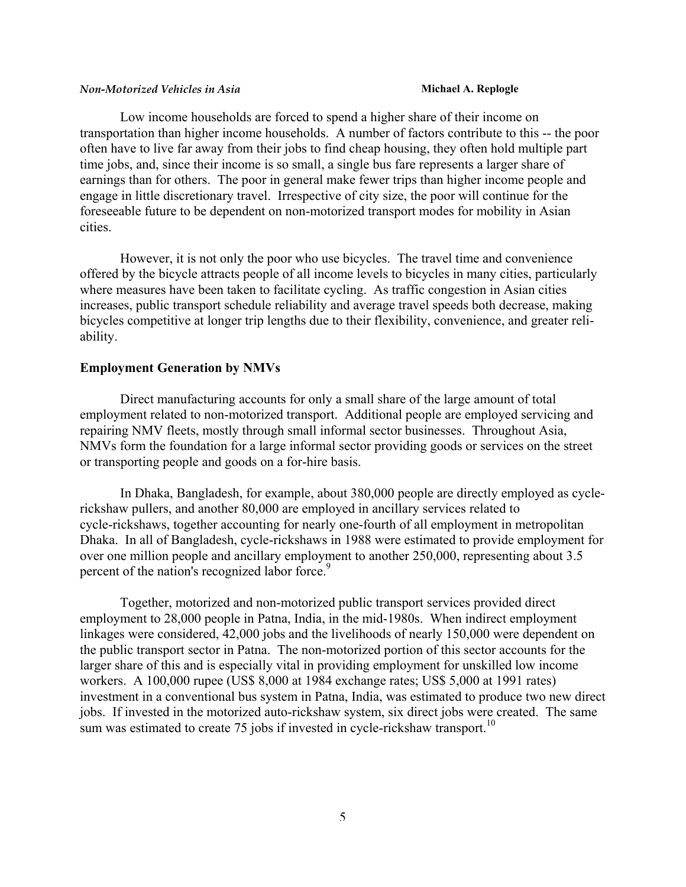Low income households are forced to spend a higher share of their income on transportation than higher income households. A number of factors contribute to this -- the poor often have to live far away from their jobs to find cheap housing, they often hold multiple part time jobs, and, since their income is so small, a single bus fare represents a larger share of earnings than for others. The poor in general make fewer trips than higher income people and engage in little discretionary travel. Irrespective of city size, the poor will continue for the foreseeable future to be dependent on non-motorized transport modes for mobility in Asian cities.

However, it is not only the poor who use bicycles. The travel time and convenience offered by the bicycle attracts people of all income levels to bicycles in many cities, particularly where measures have been taken to facilitate cycling. As traffic congestion in Asian cities increases, public transport schedule reliability and average travel speeds both decrease, making bicycles competitive at longer trip lengths due to their flexibility, convenience, and greater reliability.

### **Employment Generation by NMVs**

Direct manufacturing accounts for only a small share of the large amount of total employment related to non-motorized transport. Additional people are employed servicing and repairing NMV fleets, mostly through small informal sector businesses. Throughout Asia, NMVs form the foundation for a large informal sector providing goods or services on the street or transporting people and goods on a for-hire basis.

In Dhaka, Bangladesh, for example, about 380,000 people are directly employed as cyclerickshaw pullers, and another 80,000 are employed in ancillary services related to cycle-rickshaws, together accounting for nearly one-fourth of all employment in metropolitan Dhaka. In all of Bangladesh, cycle-rickshaws in 1988 were estimated to provide employment for over one million people and ancillary employment to another 250,000, representing about 3.5 percent of the nation's recognized labor force.<sup>9</sup>

Together, motorized and non-motorized public transport services provided direct employment to 28,000 people in Patna, India, in the mid-1980s. When indirect employment linkages were considered, 42,000 jobs and the livelihoods of nearly 150,000 were dependent on the public transport sector in Patna. The non-motorized portion of this sector accounts for the larger share of this and is especially vital in providing employment for unskilled low income workers. A 100,000 rupee (US\$ 8,000 at 1984 exchange rates; US\$ 5,000 at 1991 rates) investment in a conventional bus system in Patna, India, was estimated to produce two new direct jobs. If invested in the motorized auto-rickshaw system, six direct jobs were created. The same sum was estimated to create 75 jobs if invested in cycle-rickshaw transport.<sup>10</sup>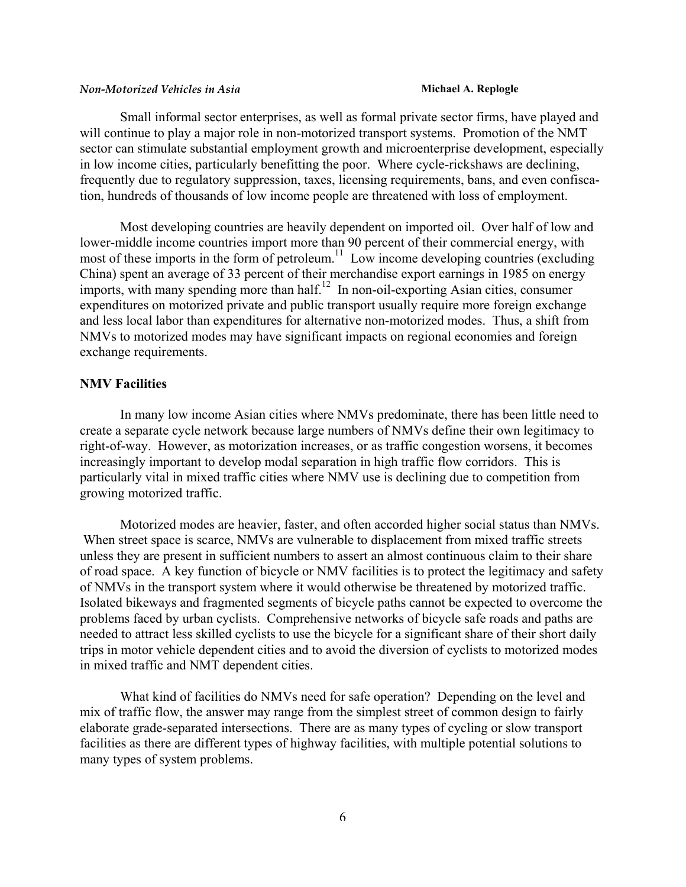Small informal sector enterprises, as well as formal private sector firms, have played and will continue to play a major role in non-motorized transport systems. Promotion of the NMT sector can stimulate substantial employment growth and microenterprise development, especially in low income cities, particularly benefitting the poor. Where cycle-rickshaws are declining, frequently due to regulatory suppression, taxes, licensing requirements, bans, and even confiscation, hundreds of thousands of low income people are threatened with loss of employment.

Most developing countries are heavily dependent on imported oil. Over half of low and lower-middle income countries import more than 90 percent of their commercial energy, with most of these imports in the form of petroleum.<sup>11</sup> Low income developing countries (excluding China) spent an average of 33 percent of their merchandise export earnings in 1985 on energy imports, with many spending more than half.<sup>12</sup> In non-oil-exporting Asian cities, consumer expenditures on motorized private and public transport usually require more foreign exchange and less local labor than expenditures for alternative non-motorized modes. Thus, a shift from NMVs to motorized modes may have significant impacts on regional economies and foreign exchange requirements.

# **NMV Facilities**

In many low income Asian cities where NMVs predominate, there has been little need to create a separate cycle network because large numbers of NMVs define their own legitimacy to right-of-way. However, as motorization increases, or as traffic congestion worsens, it becomes increasingly important to develop modal separation in high traffic flow corridors. This is particularly vital in mixed traffic cities where NMV use is declining due to competition from growing motorized traffic.

Motorized modes are heavier, faster, and often accorded higher social status than NMVs. When street space is scarce, NMVs are vulnerable to displacement from mixed traffic streets unless they are present in sufficient numbers to assert an almost continuous claim to their share of road space. A key function of bicycle or NMV facilities is to protect the legitimacy and safety of NMVs in the transport system where it would otherwise be threatened by motorized traffic. Isolated bikeways and fragmented segments of bicycle paths cannot be expected to overcome the problems faced by urban cyclists. Comprehensive networks of bicycle safe roads and paths are needed to attract less skilled cyclists to use the bicycle for a significant share of their short daily trips in motor vehicle dependent cities and to avoid the diversion of cyclists to motorized modes in mixed traffic and NMT dependent cities.

What kind of facilities do NMVs need for safe operation? Depending on the level and mix of traffic flow, the answer may range from the simplest street of common design to fairly elaborate grade-separated intersections. There are as many types of cycling or slow transport facilities as there are different types of highway facilities, with multiple potential solutions to many types of system problems.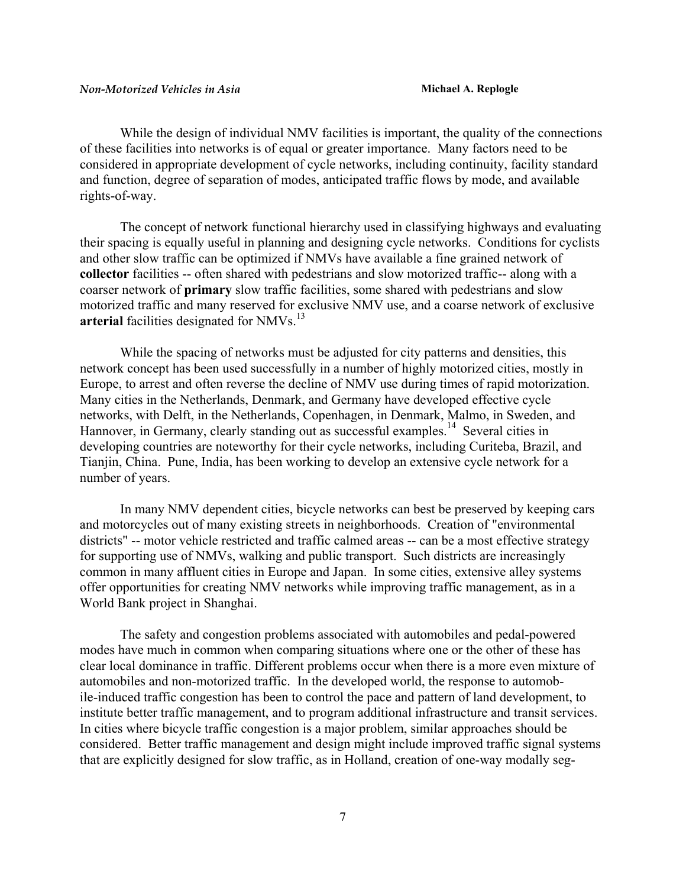While the design of individual NMV facilities is important, the quality of the connections of these facilities into networks is of equal or greater importance. Many factors need to be considered in appropriate development of cycle networks, including continuity, facility standard and function, degree of separation of modes, anticipated traffic flows by mode, and available rights-of-way.

The concept of network functional hierarchy used in classifying highways and evaluating their spacing is equally useful in planning and designing cycle networks. Conditions for cyclists and other slow traffic can be optimized if NMVs have available a fine grained network of **collector** facilities -- often shared with pedestrians and slow motorized traffic-- along with a coarser network of **primary** slow traffic facilities, some shared with pedestrians and slow motorized traffic and many reserved for exclusive NMV use, and a coarse network of exclusive arterial facilities designated for NMVs.<sup>[13](#page-23-12)</sup>

While the spacing of networks must be adjusted for city patterns and densities, this network concept has been used successfully in a number of highly motorized cities, mostly in Europe, to arrest and often reverse the decline of NMV use during times of rapid motorization. Many cities in the Netherlands, Denmark, and Germany have developed effective cycle networks, with Delft, in the Netherlands, Copenhagen, in Denmark, Malmo, in Sweden, and Hannover, in Germany, clearly standing out as successful examples.<sup>14</sup> Several cities in developing countries are noteworthy for their cycle networks, including Curiteba, Brazil, and Tianjin, China. Pune, India, has been working to develop an extensive cycle network for a number of years.

In many NMV dependent cities, bicycle networks can best be preserved by keeping cars and motorcycles out of many existing streets in neighborhoods. Creation of "environmental districts" -- motor vehicle restricted and traffic calmed areas -- can be a most effective strategy for supporting use of NMVs, walking and public transport. Such districts are increasingly common in many affluent cities in Europe and Japan. In some cities, extensive alley systems offer opportunities for creating NMV networks while improving traffic management, as in a World Bank project in Shanghai.

The safety and congestion problems associated with automobiles and pedal-powered modes have much in common when comparing situations where one or the other of these has clear local dominance in traffic. Different problems occur when there is a more even mixture of automobiles and non-motorized traffic. In the developed world, the response to automobile-induced traffic congestion has been to control the pace and pattern of land development, to institute better traffic management, and to program additional infrastructure and transit services. In cities where bicycle traffic congestion is a major problem, similar approaches should be considered. Better traffic management and design might include improved traffic signal systems that are explicitly designed for slow traffic, as in Holland, creation of one-way modally seg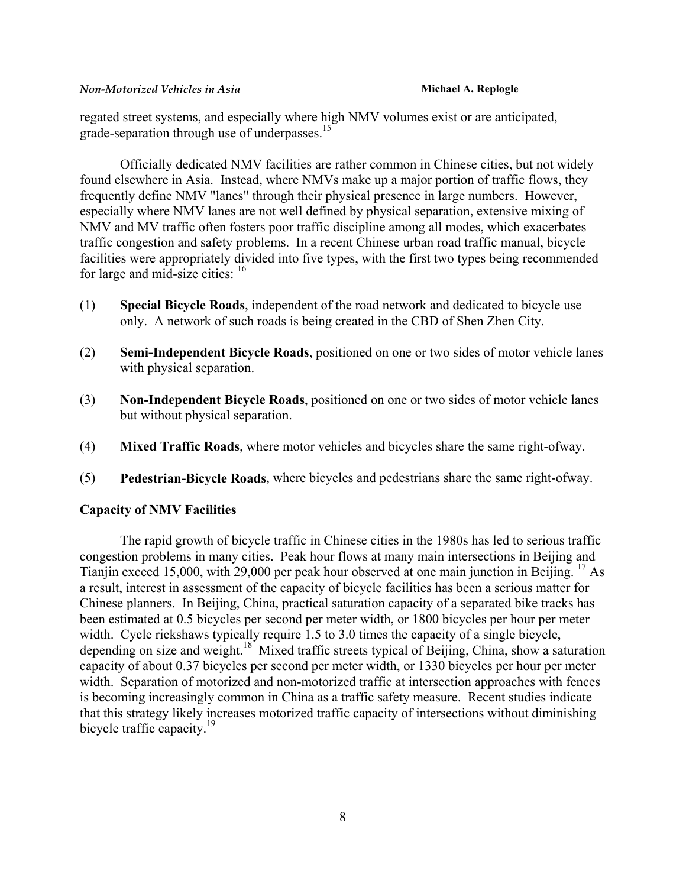regated street systems, and especially where high NMV volumes exist or are anticipated, grade-separation through use of underpasses.<sup>[15](#page-23-5)</sup>

Officially dedicated NMV facilities are rather common in Chinese cities, but not widely found elsewhere in Asia. Instead, where NMVs make up a major portion of traffic flows, they frequently define NMV "lanes" through their physical presence in large numbers. However, especially where NMV lanes are not well defined by physical separation, extensive mixing of NMV and MV traffic often fosters poor traffic discipline among all modes, which exacerbates traffic congestion and safety problems. In a recent Chinese urban road traffic manual, bicycle facilities were appropriately divided into five types, with the first two types being recommended for large and mid-size cities:  $16$ 

- (1) **Special Bicycle Roads**, independent of the road network and dedicated to bicycle use only. A network of such roads is being created in the CBD of Shen Zhen City.
- (2) **Semi-Independent Bicycle Roads**, positioned on one or two sides of motor vehicle lanes with physical separation.
- (3) **Non-Independent Bicycle Roads**, positioned on one or two sides of motor vehicle lanes but without physical separation.
- (4) **Mixed Traffic Roads**, where motor vehicles and bicycles share the same right-ofway.
- (5) **Pedestrian-Bicycle Roads**, where bicycles and pedestrians share the same right-ofway.

### **Capacity of NMV Facilities**

The rapid growth of bicycle traffic in Chinese cities in the 1980s has led to serious traffic congestion problems in many cities. Peak hour flows at many main intersections in Beijing and Tianjin exceed 15,000, with 29,000 per peak hour observed at one main junction in Beijing. [17](#page-23-15) As a result, interest in assessment of the capacity of bicycle facilities has been a serious matter for Chinese planners. In Beijing, China, practical saturation capacity of a separated bike tracks has been estimated at 0.5 bicycles per second per meter width, or 1800 bicycles per hour per meter width. Cycle rickshaws typically require 1.5 to 3.0 times the capacity of a single bicycle, depending on size and weight.<sup>18</sup> Mixed traffic streets typical of Beijing, China, show a saturation capacity of about 0.37 bicycles per second per meter width, or 1330 bicycles per hour per meter width. Separation of motorized and non-motorized traffic at intersection approaches with fences is becoming increasingly common in China as a traffic safety measure. Recent studies indicate that this strategy likely increases motorized traffic capacity of intersections without diminishing bicycle traffic capacity.<sup>[19](#page-23-17)</sup>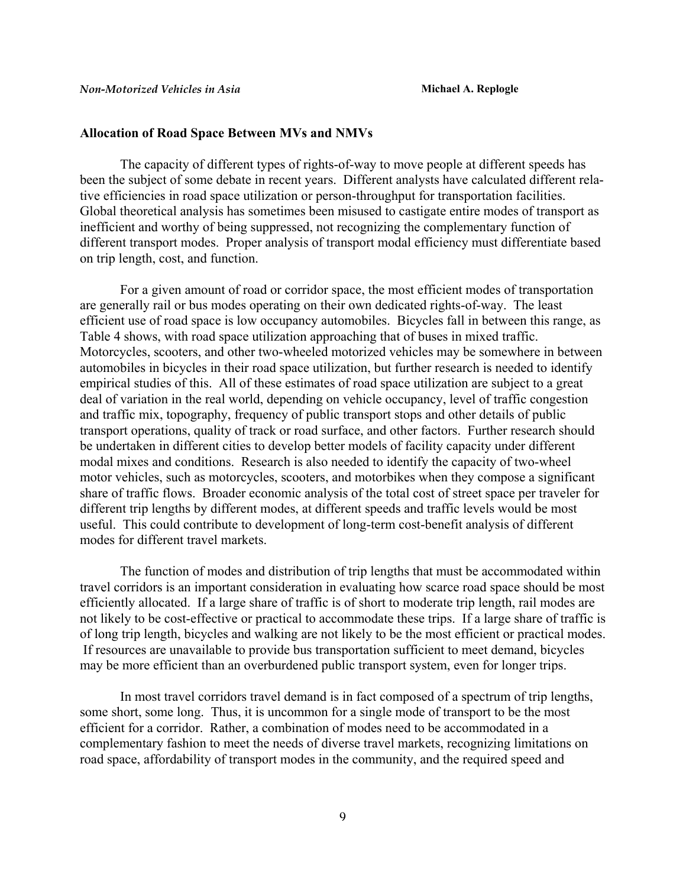#### **Allocation of Road Space Between MVs and NMVs**

The capacity of different types of rights-of-way to move people at different speeds has been the subject of some debate in recent years. Different analysts have calculated different relative efficiencies in road space utilization or person-throughput for transportation facilities. Global theoretical analysis has sometimes been misused to castigate entire modes of transport as inefficient and worthy of being suppressed, not recognizing the complementary function of different transport modes. Proper analysis of transport modal efficiency must differentiate based on trip length, cost, and function.

For a given amount of road or corridor space, the most efficient modes of transportation are generally rail or bus modes operating on their own dedicated rights-of-way. The least efficient use of road space is low occupancy automobiles. Bicycles fall in between this range, as Table 4 shows, with road space utilization approaching that of buses in mixed traffic. Motorcycles, scooters, and other two-wheeled motorized vehicles may be somewhere in between automobiles in bicycles in their road space utilization, but further research is needed to identify empirical studies of this. All of these estimates of road space utilization are subject to a great deal of variation in the real world, depending on vehicle occupancy, level of traffic congestion and traffic mix, topography, frequency of public transport stops and other details of public transport operations, quality of track or road surface, and other factors. Further research should be undertaken in different cities to develop better models of facility capacity under different modal mixes and conditions. Research is also needed to identify the capacity of two-wheel motor vehicles, such as motorcycles, scooters, and motorbikes when they compose a significant share of traffic flows. Broader economic analysis of the total cost of street space per traveler for different trip lengths by different modes, at different speeds and traffic levels would be most useful. This could contribute to development of long-term cost-benefit analysis of different modes for different travel markets.

The function of modes and distribution of trip lengths that must be accommodated within travel corridors is an important consideration in evaluating how scarce road space should be most efficiently allocated. If a large share of traffic is of short to moderate trip length, rail modes are not likely to be cost-effective or practical to accommodate these trips. If a large share of traffic is of long trip length, bicycles and walking are not likely to be the most efficient or practical modes. If resources are unavailable to provide bus transportation sufficient to meet demand, bicycles may be more efficient than an overburdened public transport system, even for longer trips.

In most travel corridors travel demand is in fact composed of a spectrum of trip lengths, some short, some long. Thus, it is uncommon for a single mode of transport to be the most efficient for a corridor. Rather, a combination of modes need to be accommodated in a complementary fashion to meet the needs of diverse travel markets, recognizing limitations on road space, affordability of transport modes in the community, and the required speed and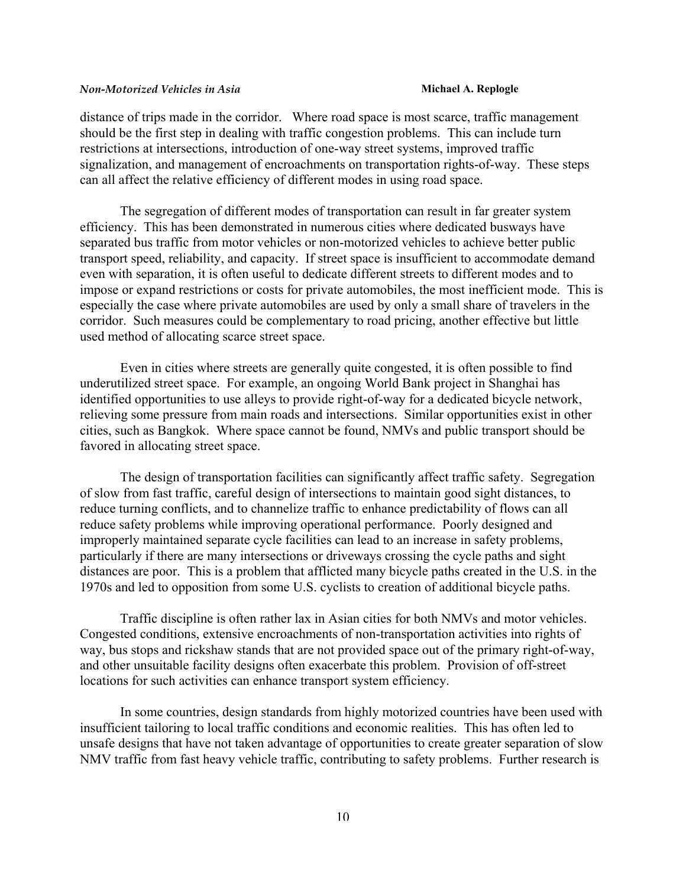distance of trips made in the corridor. Where road space is most scarce, traffic management should be the first step in dealing with traffic congestion problems. This can include turn restrictions at intersections, introduction of one-way street systems, improved traffic signalization, and management of encroachments on transportation rights-of-way. These steps can all affect the relative efficiency of different modes in using road space.

The segregation of different modes of transportation can result in far greater system efficiency. This has been demonstrated in numerous cities where dedicated busways have separated bus traffic from motor vehicles or non-motorized vehicles to achieve better public transport speed, reliability, and capacity. If street space is insufficient to accommodate demand even with separation, it is often useful to dedicate different streets to different modes and to impose or expand restrictions or costs for private automobiles, the most inefficient mode. This is especially the case where private automobiles are used by only a small share of travelers in the corridor. Such measures could be complementary to road pricing, another effective but little used method of allocating scarce street space.

Even in cities where streets are generally quite congested, it is often possible to find underutilized street space. For example, an ongoing World Bank project in Shanghai has identified opportunities to use alleys to provide right-of-way for a dedicated bicycle network, relieving some pressure from main roads and intersections. Similar opportunities exist in other cities, such as Bangkok. Where space cannot be found, NMVs and public transport should be favored in allocating street space.

The design of transportation facilities can significantly affect traffic safety. Segregation of slow from fast traffic, careful design of intersections to maintain good sight distances, to reduce turning conflicts, and to channelize traffic to enhance predictability of flows can all reduce safety problems while improving operational performance. Poorly designed and improperly maintained separate cycle facilities can lead to an increase in safety problems, particularly if there are many intersections or driveways crossing the cycle paths and sight distances are poor. This is a problem that afflicted many bicycle paths created in the U.S. in the 1970s and led to opposition from some U.S. cyclists to creation of additional bicycle paths.

Traffic discipline is often rather lax in Asian cities for both NMVs and motor vehicles. Congested conditions, extensive encroachments of non-transportation activities into rights of way, bus stops and rickshaw stands that are not provided space out of the primary right-of-way, and other unsuitable facility designs often exacerbate this problem. Provision of off-street locations for such activities can enhance transport system efficiency.

In some countries, design standards from highly motorized countries have been used with insufficient tailoring to local traffic conditions and economic realities. This has often led to unsafe designs that have not taken advantage of opportunities to create greater separation of slow NMV traffic from fast heavy vehicle traffic, contributing to safety problems. Further research is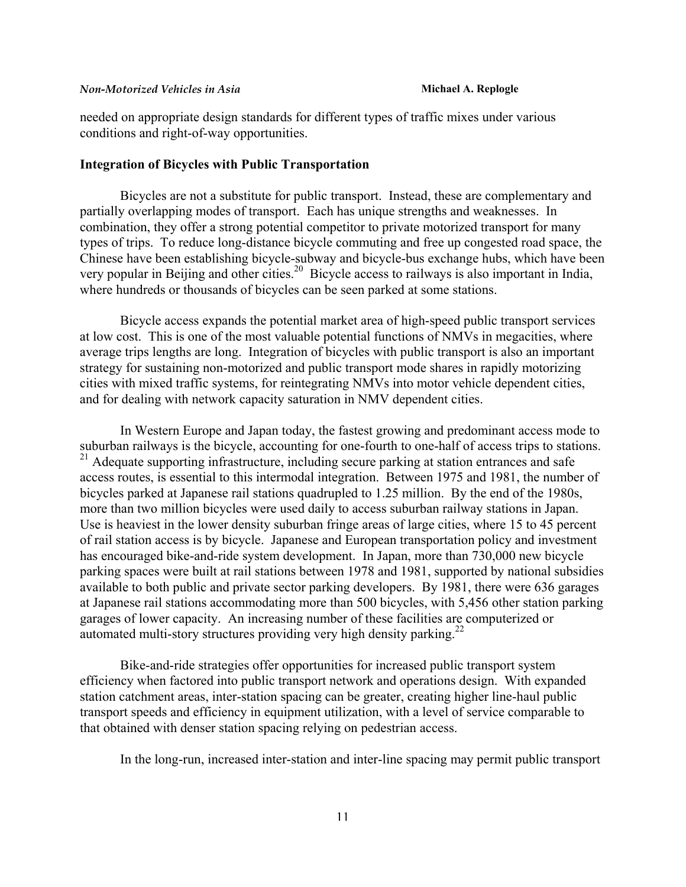needed on appropriate design standards for different types of traffic mixes under various conditions and right-of-way opportunities.

### **Integration of Bicycles with Public Transportation**

Bicycles are not a substitute for public transport. Instead, these are complementary and partially overlapping modes of transport. Each has unique strengths and weaknesses. In combination, they offer a strong potential competitor to private motorized transport for many types of trips. To reduce long-distance bicycle commuting and free up congested road space, the Chinese have been establishing bicycle-subway and bicycle-bus exchange hubs, which have been very popular in Beijing and other cities.<sup>20</sup> Bicycle access to railways is also important in India, where hundreds or thousands of bicycles can be seen parked at some stations.

Bicycle access expands the potential market area of high-speed public transport services at low cost. This is one of the most valuable potential functions of NMVs in megacities, where average trips lengths are long. Integration of bicycles with public transport is also an important strategy for sustaining non-motorized and public transport mode shares in rapidly motorizing cities with mixed traffic systems, for reintegrating NMVs into motor vehicle dependent cities, and for dealing with network capacity saturation in NMV dependent cities.

In Western Europe and Japan today, the fastest growing and predominant access mode to suburban railways is the bicycle, accounting for one-fourth to one-half of access trips to stations.  $21$  Adequate supporting infrastructure, including secure parking at station entrances and safe access routes, is essential to this intermodal integration. Between 1975 and 1981, the number of bicycles parked at Japanese rail stations quadrupled to 1.25 million. By the end of the 1980s, more than two million bicycles were used daily to access suburban railway stations in Japan. Use is heaviest in the lower density suburban fringe areas of large cities, where 15 to 45 percent of rail station access is by bicycle. Japanese and European transportation policy and investment has encouraged bike-and-ride system development. In Japan, more than 730,000 new bicycle parking spaces were built at rail stations between 1978 and 1981, supported by national subsidies available to both public and private sector parking developers. By 1981, there were 636 garages at Japanese rail stations accommodating more than 500 bicycles, with 5,456 other station parking garages of lower capacity. An increasing number of these facilities are computerized or automated multi-story structures providing very high density parking.<sup>[22](#page-23-20)</sup>

Bike-and-ride strategies offer opportunities for increased public transport system efficiency when factored into public transport network and operations design. With expanded station catchment areas, inter-station spacing can be greater, creating higher line-haul public transport speeds and efficiency in equipment utilization, with a level of service comparable to that obtained with denser station spacing relying on pedestrian access.

In the long-run, increased inter-station and inter-line spacing may permit public transport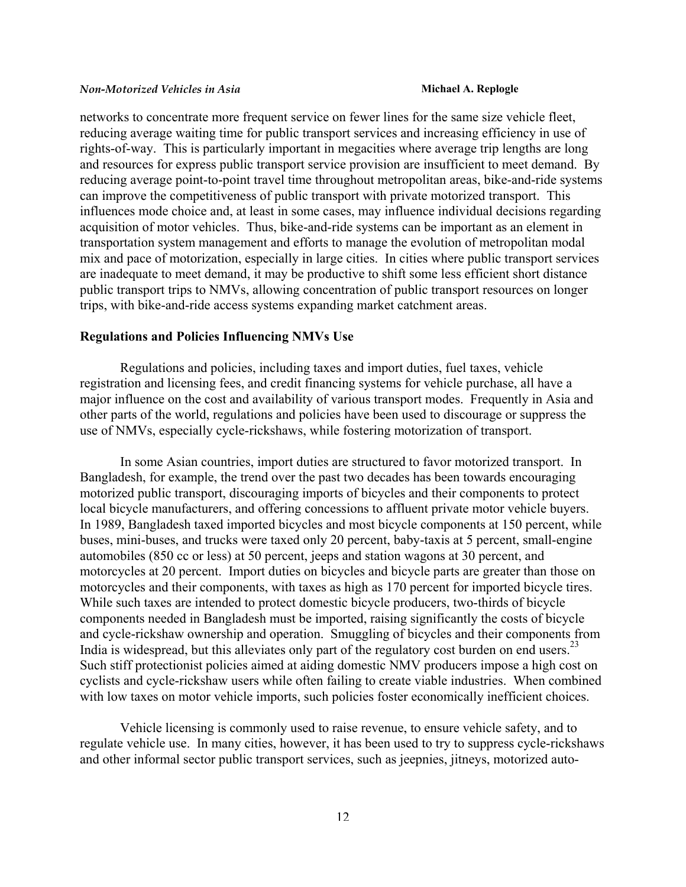networks to concentrate more frequent service on fewer lines for the same size vehicle fleet, reducing average waiting time for public transport services and increasing efficiency in use of rights-of-way. This is particularly important in megacities where average trip lengths are long and resources for express public transport service provision are insufficient to meet demand. By reducing average point-to-point travel time throughout metropolitan areas, bike-and-ride systems can improve the competitiveness of public transport with private motorized transport. This influences mode choice and, at least in some cases, may influence individual decisions regarding acquisition of motor vehicles. Thus, bike-and-ride systems can be important as an element in transportation system management and efforts to manage the evolution of metropolitan modal mix and pace of motorization, especially in large cities. In cities where public transport services are inadequate to meet demand, it may be productive to shift some less efficient short distance public transport trips to NMVs, allowing concentration of public transport resources on longer trips, with bike-and-ride access systems expanding market catchment areas.

### **Regulations and Policies Influencing NMVs Use**

Regulations and policies, including taxes and import duties, fuel taxes, vehicle registration and licensing fees, and credit financing systems for vehicle purchase, all have a major influence on the cost and availability of various transport modes. Frequently in Asia and other parts of the world, regulations and policies have been used to discourage or suppress the use of NMVs, especially cycle-rickshaws, while fostering motorization of transport.

In some Asian countries, import duties are structured to favor motorized transport. In Bangladesh, for example, the trend over the past two decades has been towards encouraging motorized public transport, discouraging imports of bicycles and their components to protect local bicycle manufacturers, and offering concessions to affluent private motor vehicle buyers. In 1989, Bangladesh taxed imported bicycles and most bicycle components at 150 percent, while buses, mini-buses, and trucks were taxed only 20 percent, baby-taxis at 5 percent, small-engine automobiles (850 cc or less) at 50 percent, jeeps and station wagons at 30 percent, and motorcycles at 20 percent. Import duties on bicycles and bicycle parts are greater than those on motorcycles and their components, with taxes as high as 170 percent for imported bicycle tires. While such taxes are intended to protect domestic bicycle producers, two-thirds of bicycle components needed in Bangladesh must be imported, raising significantly the costs of bicycle and cycle-rickshaw ownership and operation. Smuggling of bicycles and their components from India is widespread, but this alleviates only part of the regulatory cost burden on end users.<sup>23</sup> Such stiff protectionist policies aimed at aiding domestic NMV producers impose a high cost on cyclists and cycle-rickshaw users while often failing to create viable industries. When combined with low taxes on motor vehicle imports, such policies foster economically inefficient choices.

Vehicle licensing is commonly used to raise revenue, to ensure vehicle safety, and to regulate vehicle use. In many cities, however, it has been used to try to suppress cycle-rickshaws and other informal sector public transport services, such as jeepnies, jitneys, motorized auto-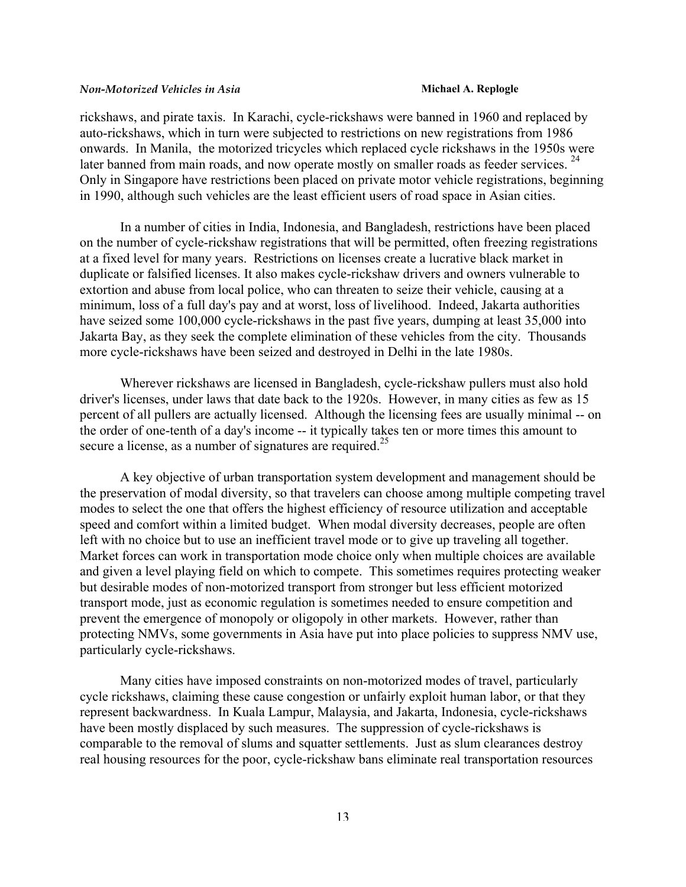rickshaws, and pirate taxis. In Karachi, cycle-rickshaws were banned in 1960 and replaced by auto-rickshaws, which in turn were subjected to restrictions on new registrations from 1986 onwards. In Manila, the motorized tricycles which replaced cycle rickshaws in the 1950s were later banned from main roads, and now operate mostly on smaller roads as feeder services. <sup>24</sup> Only in Singapore have restrictions been placed on private motor vehicle registrations, beginning in 1990, although such vehicles are the least efficient users of road space in Asian cities.

In a number of cities in India, Indonesia, and Bangladesh, restrictions have been placed on the number of cycle-rickshaw registrations that will be permitted, often freezing registrations at a fixed level for many years. Restrictions on licenses create a lucrative black market in duplicate or falsified licenses. It also makes cycle-rickshaw drivers and owners vulnerable to extortion and abuse from local police, who can threaten to seize their vehicle, causing at a minimum, loss of a full day's pay and at worst, loss of livelihood. Indeed, Jakarta authorities have seized some 100,000 cycle-rickshaws in the past five years, dumping at least 35,000 into Jakarta Bay, as they seek the complete elimination of these vehicles from the city. Thousands more cycle-rickshaws have been seized and destroyed in Delhi in the late 1980s.

Wherever rickshaws are licensed in Bangladesh, cycle-rickshaw pullers must also hold driver's licenses, under laws that date back to the 1920s. However, in many cities as few as 15 percent of all pullers are actually licensed. Although the licensing fees are usually minimal -- on the order of one-tenth of a day's income -- it typically takes ten or more times this amount to secure a license, as a number of signatures are required.<sup>25</sup>

A key objective of urban transportation system development and management should be the preservation of modal diversity, so that travelers can choose among multiple competing travel modes to select the one that offers the highest efficiency of resource utilization and acceptable speed and comfort within a limited budget. When modal diversity decreases, people are often left with no choice but to use an inefficient travel mode or to give up traveling all together. Market forces can work in transportation mode choice only when multiple choices are available and given a level playing field on which to compete. This sometimes requires protecting weaker but desirable modes of non-motorized transport from stronger but less efficient motorized transport mode, just as economic regulation is sometimes needed to ensure competition and prevent the emergence of monopoly or oligopoly in other markets. However, rather than protecting NMVs, some governments in Asia have put into place policies to suppress NMV use, particularly cycle-rickshaws.

Many cities have imposed constraints on non-motorized modes of travel, particularly cycle rickshaws, claiming these cause congestion or unfairly exploit human labor, or that they represent backwardness. In Kuala Lampur, Malaysia, and Jakarta, Indonesia, cycle-rickshaws have been mostly displaced by such measures. The suppression of cycle-rickshaws is comparable to the removal of slums and squatter settlements. Just as slum clearances destroy real housing resources for the poor, cycle-rickshaw bans eliminate real transportation resources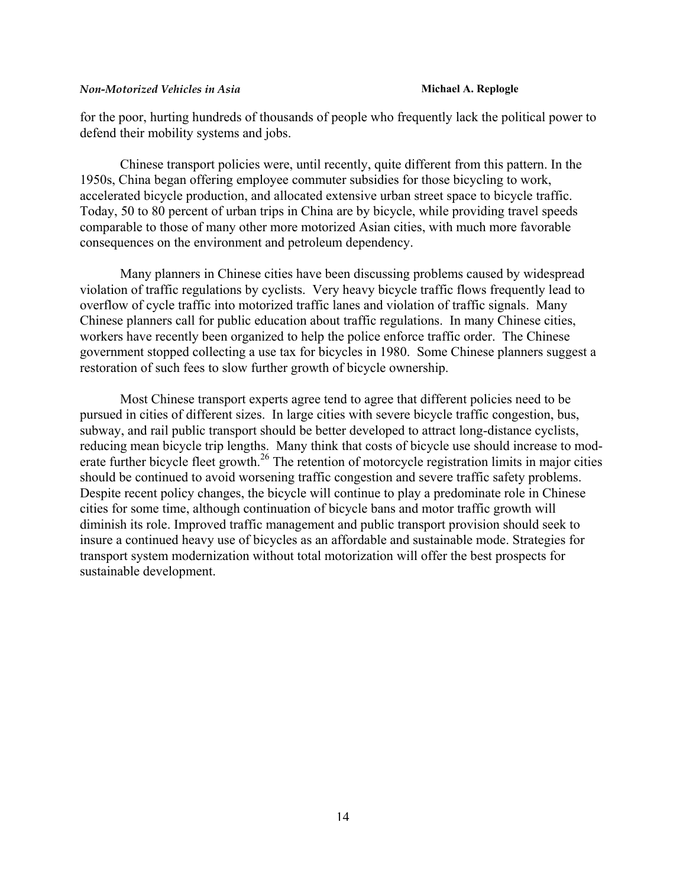for the poor, hurting hundreds of thousands of people who frequently lack the political power to defend their mobility systems and jobs.

Chinese transport policies were, until recently, quite different from this pattern. In the 1950s, China began offering employee commuter subsidies for those bicycling to work, accelerated bicycle production, and allocated extensive urban street space to bicycle traffic. Today, 50 to 80 percent of urban trips in China are by bicycle, while providing travel speeds comparable to those of many other more motorized Asian cities, with much more favorable consequences on the environment and petroleum dependency.

Many planners in Chinese cities have been discussing problems caused by widespread violation of traffic regulations by cyclists. Very heavy bicycle traffic flows frequently lead to overflow of cycle traffic into motorized traffic lanes and violation of traffic signals. Many Chinese planners call for public education about traffic regulations. In many Chinese cities, workers have recently been organized to help the police enforce traffic order. The Chinese government stopped collecting a use tax for bicycles in 1980. Some Chinese planners suggest a restoration of such fees to slow further growth of bicycle ownership.

Most Chinese transport experts agree tend to agree that different policies need to be pursued in cities of different sizes. In large cities with severe bicycle traffic congestion, bus, subway, and rail public transport should be better developed to attract long-distance cyclists, reducing mean bicycle trip lengths. Many think that costs of bicycle use should increase to moderate further bicycle fleet growth.<sup>26</sup> The retention of motorcycle registration limits in major cities should be continued to avoid worsening traffic congestion and severe traffic safety problems. Despite recent policy changes, the bicycle will continue to play a predominate role in Chinese cities for some time, although continuation of bicycle bans and motor traffic growth will diminish its role. Improved traffic management and public transport provision should seek to insure a continued heavy use of bicycles as an affordable and sustainable mode. Strategies for transport system modernization without total motorization will offer the best prospects for sustainable development.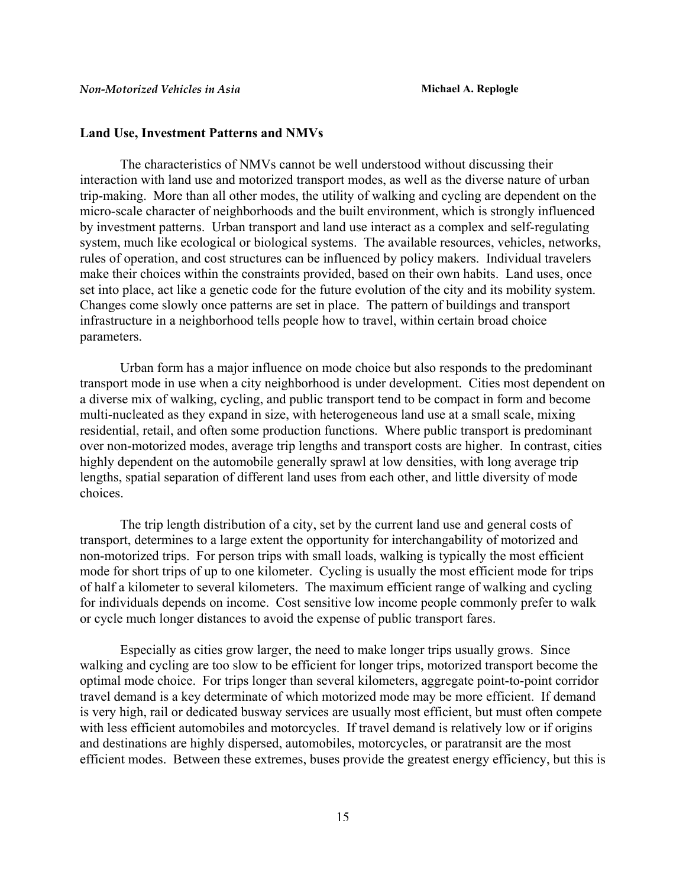#### **Land Use, Investment Patterns and NMVs**

The characteristics of NMVs cannot be well understood without discussing their interaction with land use and motorized transport modes, as well as the diverse nature of urban trip-making. More than all other modes, the utility of walking and cycling are dependent on the micro-scale character of neighborhoods and the built environment, which is strongly influenced by investment patterns. Urban transport and land use interact as a complex and self-regulating system, much like ecological or biological systems. The available resources, vehicles, networks, rules of operation, and cost structures can be influenced by policy makers. Individual travelers make their choices within the constraints provided, based on their own habits. Land uses, once set into place, act like a genetic code for the future evolution of the city and its mobility system. Changes come slowly once patterns are set in place. The pattern of buildings and transport infrastructure in a neighborhood tells people how to travel, within certain broad choice parameters.

Urban form has a major influence on mode choice but also responds to the predominant transport mode in use when a city neighborhood is under development. Cities most dependent on a diverse mix of walking, cycling, and public transport tend to be compact in form and become multi-nucleated as they expand in size, with heterogeneous land use at a small scale, mixing residential, retail, and often some production functions. Where public transport is predominant over non-motorized modes, average trip lengths and transport costs are higher. In contrast, cities highly dependent on the automobile generally sprawl at low densities, with long average trip lengths, spatial separation of different land uses from each other, and little diversity of mode choices.

The trip length distribution of a city, set by the current land use and general costs of transport, determines to a large extent the opportunity for interchangability of motorized and non-motorized trips. For person trips with small loads, walking is typically the most efficient mode for short trips of up to one kilometer. Cycling is usually the most efficient mode for trips of half a kilometer to several kilometers. The maximum efficient range of walking and cycling for individuals depends on income. Cost sensitive low income people commonly prefer to walk or cycle much longer distances to avoid the expense of public transport fares.

Especially as cities grow larger, the need to make longer trips usually grows. Since walking and cycling are too slow to be efficient for longer trips, motorized transport become the optimal mode choice. For trips longer than several kilometers, aggregate point-to-point corridor travel demand is a key determinate of which motorized mode may be more efficient. If demand is very high, rail or dedicated busway services are usually most efficient, but must often compete with less efficient automobiles and motorcycles. If travel demand is relatively low or if origins and destinations are highly dispersed, automobiles, motorcycles, or paratransit are the most efficient modes. Between these extremes, buses provide the greatest energy efficiency, but this is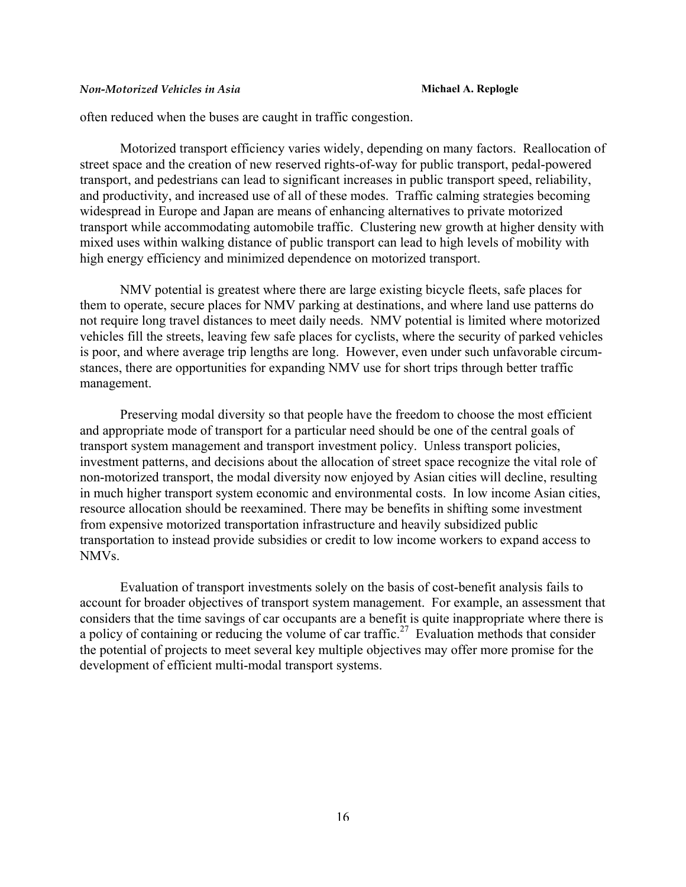often reduced when the buses are caught in traffic congestion.

Motorized transport efficiency varies widely, depending on many factors. Reallocation of street space and the creation of new reserved rights-of-way for public transport, pedal-powered transport, and pedestrians can lead to significant increases in public transport speed, reliability, and productivity, and increased use of all of these modes. Traffic calming strategies becoming widespread in Europe and Japan are means of enhancing alternatives to private motorized transport while accommodating automobile traffic. Clustering new growth at higher density with mixed uses within walking distance of public transport can lead to high levels of mobility with high energy efficiency and minimized dependence on motorized transport.

NMV potential is greatest where there are large existing bicycle fleets, safe places for them to operate, secure places for NMV parking at destinations, and where land use patterns do not require long travel distances to meet daily needs. NMV potential is limited where motorized vehicles fill the streets, leaving few safe places for cyclists, where the security of parked vehicles is poor, and where average trip lengths are long. However, even under such unfavorable circumstances, there are opportunities for expanding NMV use for short trips through better traffic management.

Preserving modal diversity so that people have the freedom to choose the most efficient and appropriate mode of transport for a particular need should be one of the central goals of transport system management and transport investment policy. Unless transport policies, investment patterns, and decisions about the allocation of street space recognize the vital role of non-motorized transport, the modal diversity now enjoyed by Asian cities will decline, resulting in much higher transport system economic and environmental costs. In low income Asian cities, resource allocation should be reexamined. There may be benefits in shifting some investment from expensive motorized transportation infrastructure and heavily subsidized public transportation to instead provide subsidies or credit to low income workers to expand access to NMVs.

Evaluation of transport investments solely on the basis of cost-benefit analysis fails to account for broader objectives of transport system management. For example, an assessment that considers that the time savings of car occupants are a benefit is quite inappropriate where there is a policy of containing or reducing the volume of car traffic.<sup>27</sup> Evaluation methods that consider the potential of projects to meet several key multiple objectives may offer more promise for the development of efficient multi-modal transport systems.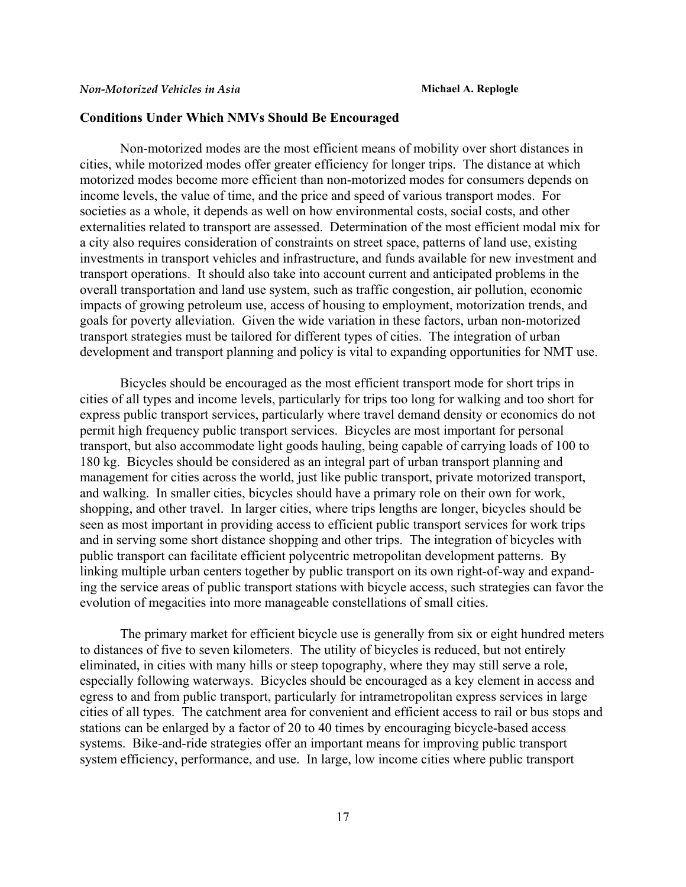### **Conditions Under Which NMVs Should Be Encouraged**

Non-motorized modes are the most efficient means of mobility over short distances in cities, while motorized modes offer greater efficiency for longer trips. The distance at which motorized modes become more efficient than non-motorized modes for consumers depends on income levels, the value of time, and the price and speed of various transport modes. For societies as a whole, it depends as well on how environmental costs, social costs, and other externalities related to transport are assessed. Determination of the most efficient modal mix for a city also requires consideration of constraints on street space, patterns of land use, existing investments in transport vehicles and infrastructure, and funds available for new investment and transport operations. It should also take into account current and anticipated problems in the overall transportation and land use system, such as traffic congestion, air pollution, economic impacts of growing petroleum use, access of housing to employment, motorization trends, and goals for poverty alleviation. Given the wide variation in these factors, urban non-motorized transport strategies must be tailored for different types of cities. The integration of urban development and transport planning and policy is vital to expanding opportunities for NMT use.

Bicycles should be encouraged as the most efficient transport mode for short trips in cities of all types and income levels, particularly for trips too long for walking and too short for express public transport services, particularly where travel demand density or economics do not permit high frequency public transport services. Bicycles are most important for personal transport, but also accommodate light goods hauling, being capable of carrying loads of 100 to 180 kg. Bicycles should be considered as an integral part of urban transport planning and management for cities across the world, just like public transport, private motorized transport, and walking. In smaller cities, bicycles should have a primary role on their own for work, shopping, and other travel. In larger cities, where trips lengths are longer, bicycles should be seen as most important in providing access to efficient public transport services for work trips and in serving some short distance shopping and other trips. The integration of bicycles with public transport can facilitate efficient polycentric metropolitan development patterns. By linking multiple urban centers together by public transport on its own right-of-way and expanding the service areas of public transport stations with bicycle access, such strategies can favor the evolution of megacities into more manageable constellations of small cities.

The primary market for efficient bicycle use is generally from six or eight hundred meters to distances of five to seven kilometers. The utility of bicycles is reduced, but not entirely eliminated, in cities with many hills or steep topography, where they may still serve a role, especially following waterways. Bicycles should be encouraged as a key element in access and egress to and from public transport, particularly for intrametropolitan express services in large cities of all types. The catchment area for convenient and efficient access to rail or bus stops and stations can be enlarged by a factor of 20 to 40 times by encouraging bicycle-based access systems. Bike-and-ride strategies offer an important means for improving public transport system efficiency, performance, and use. In large, low income cities where public transport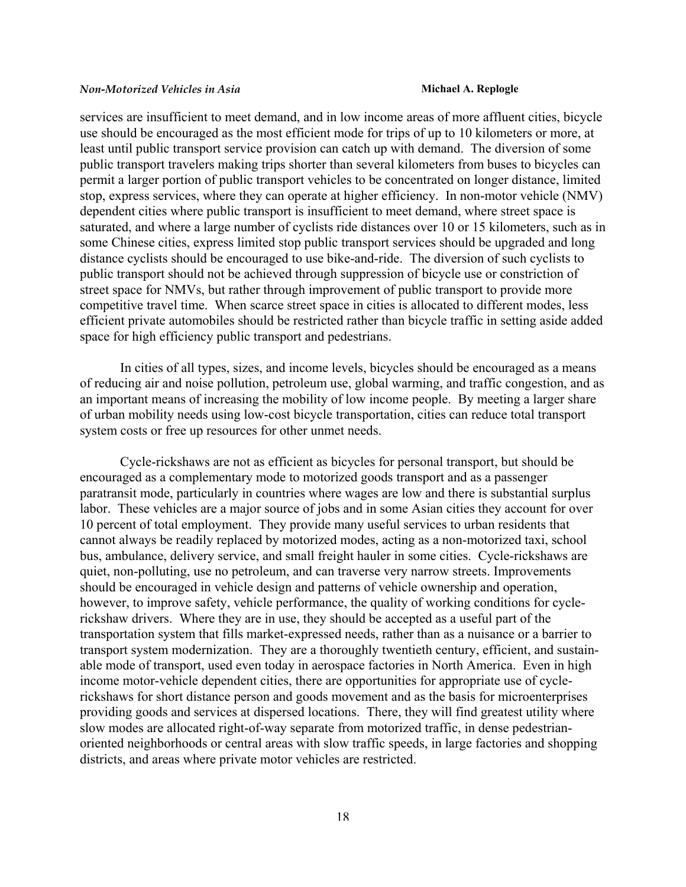services are insufficient to meet demand, and in low income areas of more affluent cities, bicycle use should be encouraged as the most efficient mode for trips of up to 10 kilometers or more, at least until public transport service provision can catch up with demand. The diversion of some public transport travelers making trips shorter than several kilometers from buses to bicycles can permit a larger portion of public transport vehicles to be concentrated on longer distance, limited stop, express services, where they can operate at higher efficiency. In non-motor vehicle (NMV) dependent cities where public transport is insufficient to meet demand, where street space is saturated, and where a large number of cyclists ride distances over 10 or 15 kilometers, such as in some Chinese cities, express limited stop public transport services should be upgraded and long distance cyclists should be encouraged to use bike-and-ride. The diversion of such cyclists to public transport should not be achieved through suppression of bicycle use or constriction of street space for NMVs, but rather through improvement of public transport to provide more competitive travel time. When scarce street space in cities is allocated to different modes, less efficient private automobiles should be restricted rather than bicycle traffic in setting aside added space for high efficiency public transport and pedestrians.

In cities of all types, sizes, and income levels, bicycles should be encouraged as a means of reducing air and noise pollution, petroleum use, global warming, and traffic congestion, and as an important means of increasing the mobility of low income people. By meeting a larger share of urban mobility needs using low-cost bicycle transportation, cities can reduce total transport system costs or free up resources for other unmet needs.

Cycle-rickshaws are not as efficient as bicycles for personal transport, but should be encouraged as a complementary mode to motorized goods transport and as a passenger paratransit mode, particularly in countries where wages are low and there is substantial surplus labor. These vehicles are a major source of jobs and in some Asian cities they account for over 10 percent of total employment. They provide many useful services to urban residents that cannot always be readily replaced by motorized modes, acting as a non-motorized taxi, school bus, ambulance, delivery service, and small freight hauler in some cities. Cycle-rickshaws are quiet, non-polluting, use no petroleum, and can traverse very narrow streets. Improvements should be encouraged in vehicle design and patterns of vehicle ownership and operation, however, to improve safety, vehicle performance, the quality of working conditions for cyclerickshaw drivers. Where they are in use, they should be accepted as a useful part of the transportation system that fills market-expressed needs, rather than as a nuisance or a barrier to transport system modernization. They are a thoroughly twentieth century, efficient, and sustainable mode of transport, used even today in aerospace factories in North America. Even in high income motor-vehicle dependent cities, there are opportunities for appropriate use of cyclerickshaws for short distance person and goods movement and as the basis for microenterprises providing goods and services at dispersed locations. There, they will find greatest utility where slow modes are allocated right-of-way separate from motorized traffic, in dense pedestrianoriented neighborhoods or central areas with slow traffic speeds, in large factories and shopping districts, and areas where private motor vehicles are restricted.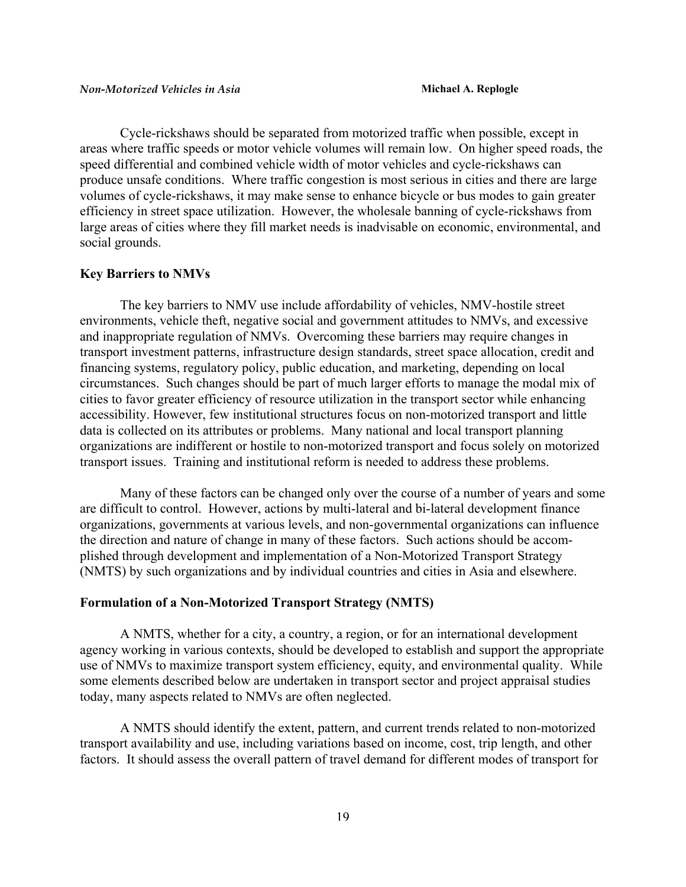Cycle-rickshaws should be separated from motorized traffic when possible, except in areas where traffic speeds or motor vehicle volumes will remain low. On higher speed roads, the speed differential and combined vehicle width of motor vehicles and cycle-rickshaws can produce unsafe conditions. Where traffic congestion is most serious in cities and there are large volumes of cycle-rickshaws, it may make sense to enhance bicycle or bus modes to gain greater efficiency in street space utilization. However, the wholesale banning of cycle-rickshaws from large areas of cities where they fill market needs is inadvisable on economic, environmental, and social grounds.

#### **Key Barriers to NMVs**

The key barriers to NMV use include affordability of vehicles, NMV-hostile street environments, vehicle theft, negative social and government attitudes to NMVs, and excessive and inappropriate regulation of NMVs. Overcoming these barriers may require changes in transport investment patterns, infrastructure design standards, street space allocation, credit and financing systems, regulatory policy, public education, and marketing, depending on local circumstances. Such changes should be part of much larger efforts to manage the modal mix of cities to favor greater efficiency of resource utilization in the transport sector while enhancing accessibility. However, few institutional structures focus on non-motorized transport and little data is collected on its attributes or problems. Many national and local transport planning organizations are indifferent or hostile to non-motorized transport and focus solely on motorized transport issues. Training and institutional reform is needed to address these problems.

Many of these factors can be changed only over the course of a number of years and some are difficult to control. However, actions by multi-lateral and bi-lateral development finance organizations, governments at various levels, and non-governmental organizations can influence the direction and nature of change in many of these factors. Such actions should be accomplished through development and implementation of a Non-Motorized Transport Strategy (NMTS) by such organizations and by individual countries and cities in Asia and elsewhere.

# **Formulation of a Non-Motorized Transport Strategy (NMTS)**

A NMTS, whether for a city, a country, a region, or for an international development agency working in various contexts, should be developed to establish and support the appropriate use of NMVs to maximize transport system efficiency, equity, and environmental quality. While some elements described below are undertaken in transport sector and project appraisal studies today, many aspects related to NMVs are often neglected.

A NMTS should identify the extent, pattern, and current trends related to non-motorized transport availability and use, including variations based on income, cost, trip length, and other factors. It should assess the overall pattern of travel demand for different modes of transport for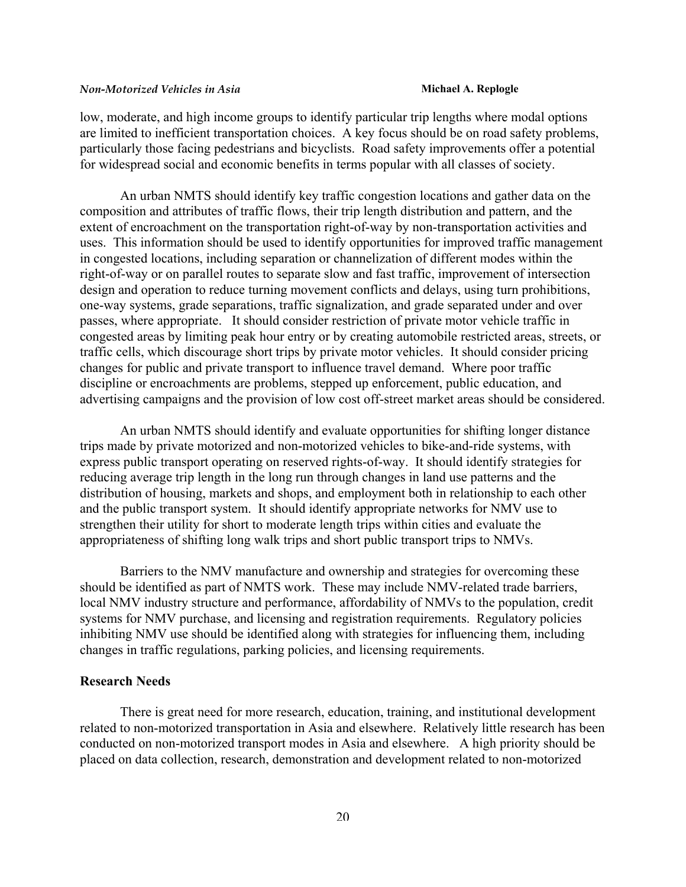low, moderate, and high income groups to identify particular trip lengths where modal options are limited to inefficient transportation choices. A key focus should be on road safety problems, particularly those facing pedestrians and bicyclists. Road safety improvements offer a potential for widespread social and economic benefits in terms popular with all classes of society.

An urban NMTS should identify key traffic congestion locations and gather data on the composition and attributes of traffic flows, their trip length distribution and pattern, and the extent of encroachment on the transportation right-of-way by non-transportation activities and uses. This information should be used to identify opportunities for improved traffic management in congested locations, including separation or channelization of different modes within the right-of-way or on parallel routes to separate slow and fast traffic, improvement of intersection design and operation to reduce turning movement conflicts and delays, using turn prohibitions, one-way systems, grade separations, traffic signalization, and grade separated under and over passes, where appropriate. It should consider restriction of private motor vehicle traffic in congested areas by limiting peak hour entry or by creating automobile restricted areas, streets, or traffic cells, which discourage short trips by private motor vehicles. It should consider pricing changes for public and private transport to influence travel demand. Where poor traffic discipline or encroachments are problems, stepped up enforcement, public education, and advertising campaigns and the provision of low cost off-street market areas should be considered.

An urban NMTS should identify and evaluate opportunities for shifting longer distance trips made by private motorized and non-motorized vehicles to bike-and-ride systems, with express public transport operating on reserved rights-of-way. It should identify strategies for reducing average trip length in the long run through changes in land use patterns and the distribution of housing, markets and shops, and employment both in relationship to each other and the public transport system. It should identify appropriate networks for NMV use to strengthen their utility for short to moderate length trips within cities and evaluate the appropriateness of shifting long walk trips and short public transport trips to NMVs.

Barriers to the NMV manufacture and ownership and strategies for overcoming these should be identified as part of NMTS work. These may include NMV-related trade barriers, local NMV industry structure and performance, affordability of NMVs to the population, credit systems for NMV purchase, and licensing and registration requirements. Regulatory policies inhibiting NMV use should be identified along with strategies for influencing them, including changes in traffic regulations, parking policies, and licensing requirements.

# **Research Needs**

There is great need for more research, education, training, and institutional development related to non-motorized transportation in Asia and elsewhere. Relatively little research has been conducted on non-motorized transport modes in Asia and elsewhere. A high priority should be placed on data collection, research, demonstration and development related to non-motorized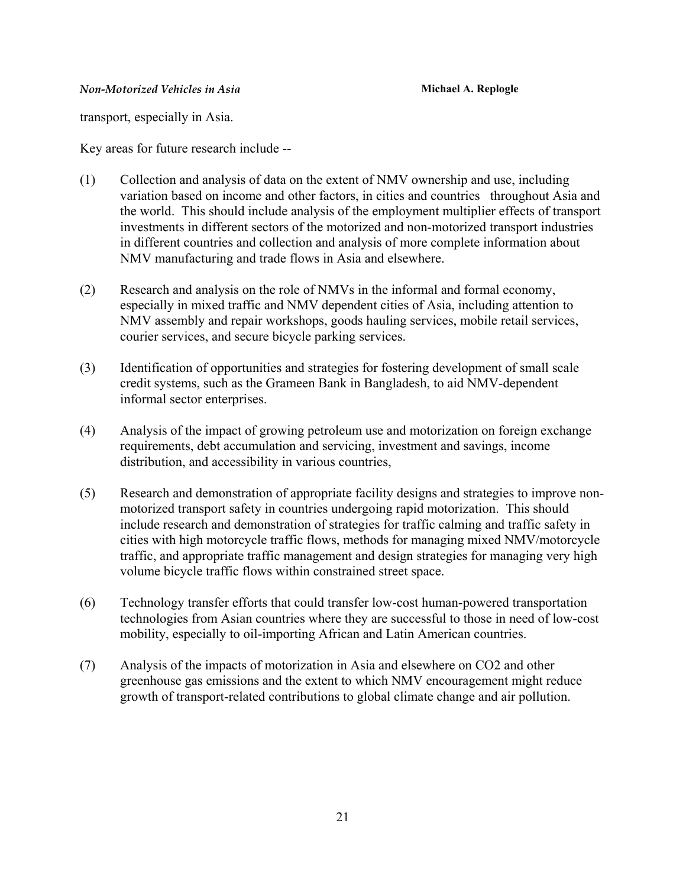transport, especially in Asia.

Key areas for future research include --

- (1) Collection and analysis of data on the extent of NMV ownership and use, including variation based on income and other factors, in cities and countries throughout Asia and the world. This should include analysis of the employment multiplier effects of transport investments in different sectors of the motorized and non-motorized transport industries in different countries and collection and analysis of more complete information about NMV manufacturing and trade flows in Asia and elsewhere.
- (2) Research and analysis on the role of NMVs in the informal and formal economy, especially in mixed traffic and NMV dependent cities of Asia, including attention to NMV assembly and repair workshops, goods hauling services, mobile retail services, courier services, and secure bicycle parking services.
- (3) Identification of opportunities and strategies for fostering development of small scale credit systems, such as the Grameen Bank in Bangladesh, to aid NMV-dependent informal sector enterprises.
- (4) Analysis of the impact of growing petroleum use and motorization on foreign exchange requirements, debt accumulation and servicing, investment and savings, income distribution, and accessibility in various countries,
- (5) Research and demonstration of appropriate facility designs and strategies to improve nonmotorized transport safety in countries undergoing rapid motorization. This should include research and demonstration of strategies for traffic calming and traffic safety in cities with high motorcycle traffic flows, methods for managing mixed NMV/motorcycle traffic, and appropriate traffic management and design strategies for managing very high volume bicycle traffic flows within constrained street space.
- (6) Technology transfer efforts that could transfer low-cost human-powered transportation technologies from Asian countries where they are successful to those in need of low-cost mobility, especially to oil-importing African and Latin American countries.
- (7) Analysis of the impacts of motorization in Asia and elsewhere on CO2 and other greenhouse gas emissions and the extent to which NMV encouragement might reduce growth of transport-related contributions to global climate change and air pollution.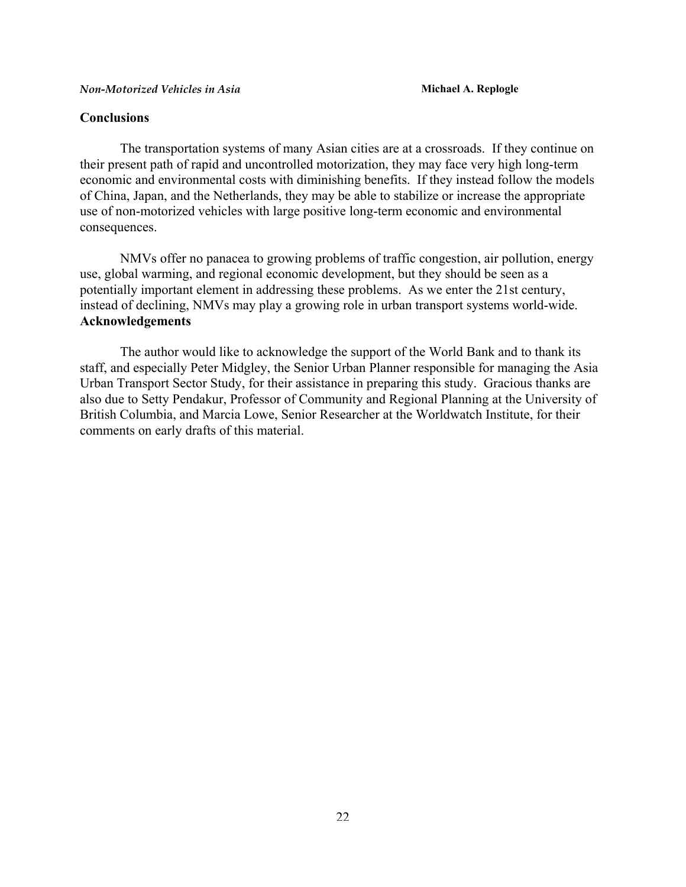# **Conclusions**

The transportation systems of many Asian cities are at a crossroads. If they continue on their present path of rapid and uncontrolled motorization, they may face very high long-term economic and environmental costs with diminishing benefits. If they instead follow the models of China, Japan, and the Netherlands, they may be able to stabilize or increase the appropriate use of non-motorized vehicles with large positive long-term economic and environmental consequences.

NMVs offer no panacea to growing problems of traffic congestion, air pollution, energy use, global warming, and regional economic development, but they should be seen as a potentially important element in addressing these problems. As we enter the 21st century, instead of declining, NMVs may play a growing role in urban transport systems world-wide. **Acknowledgements**

The author would like to acknowledge the support of the World Bank and to thank its staff, and especially Peter Midgley, the Senior Urban Planner responsible for managing the Asia Urban Transport Sector Study, for their assistance in preparing this study. Gracious thanks are also due to Setty Pendakur, Professor of Community and Regional Planning at the University of British Columbia, and Marcia Lowe, Senior Researcher at the Worldwatch Institute, for their comments on early drafts of this material.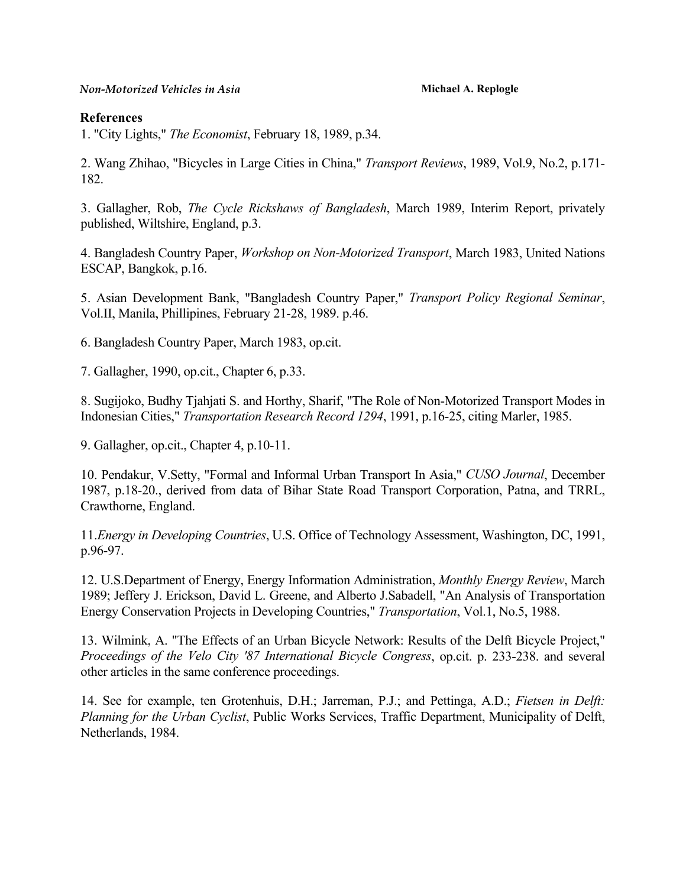# **References**

1. "City Lights," *The Economist*, February 18, 1989, p.34.

2. Wang Zhihao, "Bicycles in Large Cities in China," *Transport Reviews*, 1989, Vol.9, No.2, p.171- 182.

3. Gallagher, Rob, *The Cycle Rickshaws of Bangladesh*, March 1989, Interim Report, privately published, Wiltshire, England, p.3.

4. Bangladesh Country Paper, *Workshop on Non-Motorized Transport*, March 1983, United Nations ESCAP, Bangkok, p.16.

5. Asian Development Bank, "Bangladesh Country Paper," *Transport Policy Regional Seminar*, Vol.II, Manila, Phillipines, February 21-28, 1989. p.46.

6. Bangladesh Country Paper, March 1983, op.cit.

7. Gallagher, 1990, op.cit., Chapter 6, p.33.

8. Sugijoko, Budhy Tjahjati S. and Horthy, Sharif, "The Role of Non-Motorized Transport Modes in Indonesian Cities," *Transportation Research Record 1294*, 1991, p.16-25, citing Marler, 1985.

9. Gallagher, op.cit., Chapter 4, p.10-11.

10. Pendakur, V.Setty, "Formal and Informal Urban Transport In Asia," *CUSO Journal*, December 1987, p.18-20., derived from data of Bihar State Road Transport Corporation, Patna, and TRRL, Crawthorne, England.

11.*Energy in Developing Countries*, U.S. Office of Technology Assessment, Washington, DC, 1991, p.96-97.

12. U.S.Department of Energy, Energy Information Administration, *Monthly Energy Review*, March 1989; Jeffery J. Erickson, David L. Greene, and Alberto J.Sabadell, "An Analysis of Transportation Energy Conservation Projects in Developing Countries," *Transportation*, Vol.1, No.5, 1988.

13. Wilmink, A. "The Effects of an Urban Bicycle Network: Results of the Delft Bicycle Project," *Proceedings of the Velo City '87 International Bicycle Congress*, op.cit. p. 233-238. and several other articles in the same conference proceedings.

14. See for example, ten Grotenhuis, D.H.; Jarreman, P.J.; and Pettinga, A.D.; *Fietsen in Delft: Planning for the Urban Cyclist*, Public Works Services, Traffic Department, Municipality of Delft, Netherlands, 1984.